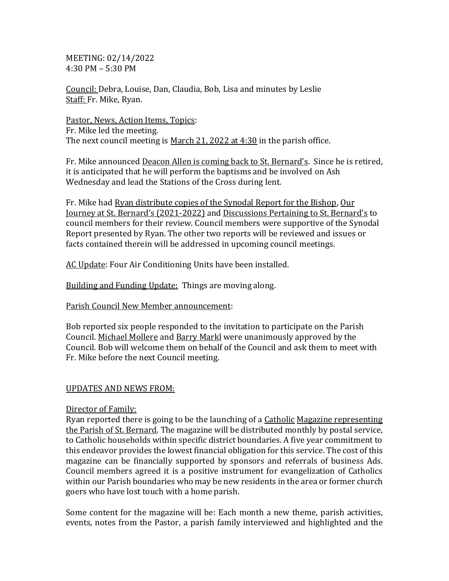MEETING: 02/14/2022 4:30 PM – 5:30 PM

Council: Debra, Louise, Dan, Claudia, Bob, Lisa and minutes by Leslie Staff: Fr. Mike, Ryan.

Pastor, News, Action Items, Topics: Fr. Mike led the meeting. The next council meeting is March 21, 2022 at 4:30 in the parish office.

Fr. Mike announced Deacon Allen is coming back to St. Bernard's. Since he is retired, it is anticipated that he will perform the baptisms and be involved on Ash Wednesday and lead the Stations of the Cross during lent.

Fr. Mike had Ryan distribute copies of the Synodal Report for the Bishop, Our Journey at St. Bernard's (2021-2022) and Discussions Pertaining to St. Bernard's to council members for their review. Council members were supportive of the Synodal Report presented by Ryan. The other two reports will be reviewed and issues or facts contained therein will be addressed in upcoming council meetings.

AC Update: Four Air Conditioning Units have been installed.

Building and Funding Update: Things are moving along.

Parish Council New Member announcement:

Bob reported six people responded to the invitation to participate on the Parish Council. Michael Mollere and Barry Markl were unanimously approved by the Council. Bob will welcome them on behalf of the Council and ask them to meet with Fr. Mike before the next Council meeting.

## UPDATES AND NEWS FROM:

## Director of Family:

Ryan reported there is going to be the launching of a Catholic Magazine representing the Parish of St. Bernard. The magazine will be distributed monthly by postal service, to Catholic households within specific district boundaries. A five year commitment to this endeavor provides the lowest financial obligation for this service. The cost of this magazine can be financially supported by sponsors and referrals of business Ads. Council members agreed it is a positive instrument for evangelization of Catholics within our Parish boundaries who may be new residents in the area or former church goers who have lost touch with a home parish.

Some content for the magazine will be: Each month a new theme, parish activities, events, notes from the Pastor, a parish family interviewed and highlighted and the